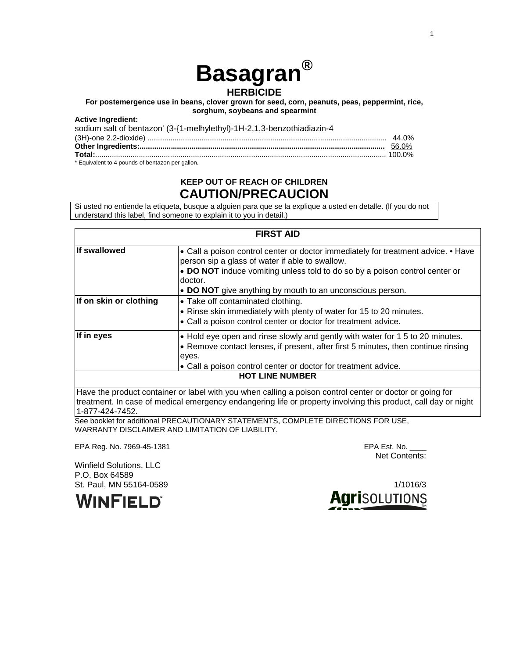# **Basagran®**

# **HERBICIDE**

**For postemergence use in beans, clover grown for seed, corn, peanuts, peas, peppermint, rice, sorghum, soybeans and spearmint**

#### **Active Ingredient:**

| sodium salt of bentazon' (3-{1-melhylethyl)-1H-2,1,3-benzothiadiazin-4 |  |
|------------------------------------------------------------------------|--|
|                                                                        |  |
|                                                                        |  |
|                                                                        |  |
| * Equivalent to 4 pounds of bentazon per gallon.                       |  |

# **KEEP OUT OF REACH OF CHILDREN CAUTION/PRECAUCION**

Si usted no entiende la etiqueta, busque a alguien para que se la explique a usted en detalle. (lf you do not understand this label, find someone to explain it to you in detail.)

| <b>FIRST AID</b>       |                                                                                                                                                                                                                                               |  |  |  |  |
|------------------------|-----------------------------------------------------------------------------------------------------------------------------------------------------------------------------------------------------------------------------------------------|--|--|--|--|
| <b>If swallowed</b>    | • Call a poison control center or doctor immediately for treatment advice. • Have<br>person sip a glass of water if able to swallow.<br>• DO NOT induce vomiting unless told to do so by a poison control center or<br>doctor.                |  |  |  |  |
|                        | • DO NOT give anything by mouth to an unconscious person.                                                                                                                                                                                     |  |  |  |  |
| If on skin or clothing | • Take off contaminated clothing.<br>• Rinse skin immediately with plenty of water for 15 to 20 minutes.<br>• Call a poison control center or doctor for treatment advice.                                                                    |  |  |  |  |
| If in eyes             | • Hold eye open and rinse slowly and gently with water for 1 5 to 20 minutes.<br>• Remove contact lenses, if present, after first 5 minutes, then continue rinsing<br>eyes.<br>• Call a poison control center or doctor for treatment advice. |  |  |  |  |
| <b>HOT LINE NUMBER</b> |                                                                                                                                                                                                                                               |  |  |  |  |

Have the product container or label with you when calling a poison control center or doctor or going for treatment. In case of medical emergency endangering life or property involving this product, call day or night 1-877-424-7452.

See booklet for additional PRECAUTIONARY STATEMENTS, COMPLETE DIRECTIONS FOR USE, WARRANTY DISCLAIMER AND LIMITATION OF LIABILITY.

EPA Reg. No. 7969-45-1381 EPA Est. No. \_\_\_\_

Net Contents:

Winfield Solutions, LLC P.O. Box 64589

**WINFIELD** 

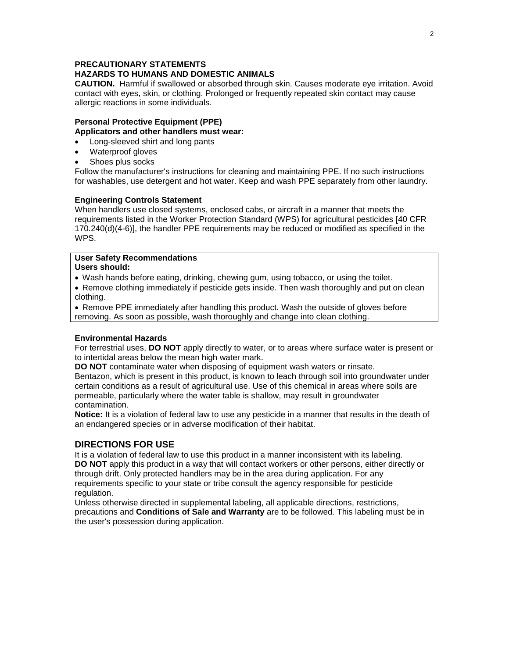#### **PRECAUTIONARY STATEMENTS HAZARDS TO HUMANS AND DOMESTIC ANIMALS**

**CAUTION.** Harmful if swallowed or absorbed through skin. Causes moderate eye irritation. Avoid contact with eyes, skin, or clothing. Prolonged or frequently repeated skin contact may cause allergic reactions in some individuals.

#### **Personal Protective Equipment (PPE) Applicators and other handlers must wear:**

- Long-sleeved shirt and long pants
- Waterproof gloves
- Shoes plus socks

Follow the manufacturer's instructions for cleaning and maintaining PPE. If no such instructions for washables, use detergent and hot water. Keep and wash PPE separately from other laundry.

# **Engineering Controls Statement**

When handlers use closed systems, enclosed cabs, or aircraft in a manner that meets the requirements listed in the Worker Protection Standard (WPS) for agricultural pesticides [40 CFR 170.240(d)(4-6)], the handler PPE requirements may be reduced or modified as specified in the WPS.

#### **User Safety Recommendations Users should:**

• Wash hands before eating, drinking, chewing gum, using tobacco, or using the toilet.

• Remove clothing immediately if pesticide gets inside. Then wash thoroughly and put on clean clothing.

• Remove PPE immediately after handling this product. Wash the outside of gloves before removing. As soon as possible, wash thoroughly and change into clean clothing.

# **Environmental Hazards**

For terrestrial uses, **DO NOT** apply directly to water, or to areas where surface water is present or to intertidal areas below the mean high water mark.

**DO NOT** contaminate water when disposing of equipment wash waters or rinsate.

Bentazon, which is present in this product, is known to leach through soil into groundwater under certain conditions as a result of agricultural use. Use of this chemical in areas where soils are permeable, particularly where the water table is shallow, may result in groundwater contamination.

**Notice:** It is a violation of federal law to use any pesticide in a manner that results in the death of an endangered species or in adverse modification of their habitat.

# **DIRECTIONS FOR USE**

It is a violation of federal law to use this product in a manner inconsistent with its labeling. **DO NOT** apply this product in a way that will contact workers or other persons, either directly or through drift. Only protected handlers may be in the area during application. For any requirements specific to your state or tribe consult the agency responsible for pesticide regulation.

Unless otherwise directed in supplemental labeling, all applicable directions, restrictions, precautions and **Conditions of Sale and Warranty** are to be followed. This labeling must be in the user's possession during application.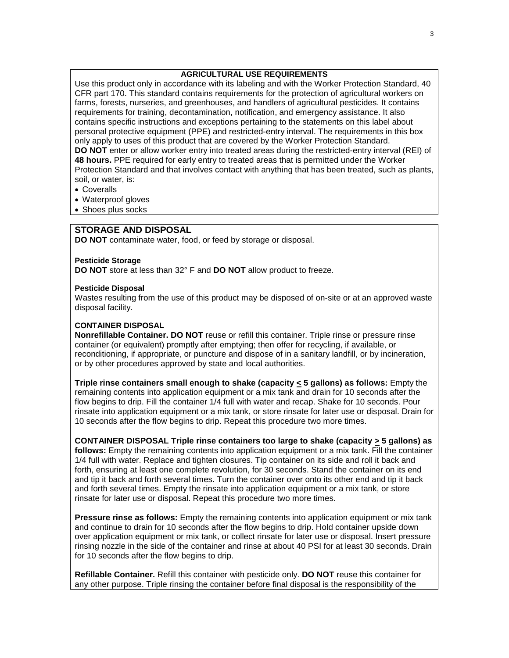# **AGRICULTURAL USE REQUIREMENTS**

Use this product only in accordance with its labeling and with the Worker Protection Standard, 40 CFR part 170. This standard contains requirements for the protection of agricultural workers on farms, forests, nurseries, and greenhouses, and handlers of agricultural pesticides. It contains requirements for training, decontamination, notification, and emergency assistance. It also contains specific instructions and exceptions pertaining to the statements on this label about personal protective equipment (PPE) and restricted-entry interval. The requirements in this box only apply to uses of this product that are covered by the Worker Protection Standard. **DO NOT** enter or allow worker entry into treated areas during the restricted-entry interval (REI) of **48 hours.** PPE required for early entry to treated areas that is permitted under the Worker Protection Standard and that involves contact with anything that has been treated, such as plants, soil, or water, is:

- Coveralls
- Waterproof gloves
- Shoes plus socks

# **STORAGE AND DISPOSAL**

**DO NOT** contaminate water, food, or feed by storage or disposal.

#### **Pesticide Storage**

**DO NOT** store at less than 32° F and **DO NOT** allow product to freeze.

#### **Pesticide Disposal**

Wastes resulting from the use of this product may be disposed of on-site or at an approved waste disposal facility.

#### **CONTAINER DISPOSAL**

**Nonrefillable Container. DO NOT** reuse or refill this container. Triple rinse or pressure rinse container (or equivalent) promptly after emptying; then offer for recycling, if available, or reconditioning, if appropriate, or puncture and dispose of in a sanitary landfill, or by incineration, or by other procedures approved by state and local authorities.

**Triple rinse containers small enough to shake (capacity < 5 gallons) as follows:** Empty the remaining contents into application equipment or a mix tank and drain for 10 seconds after the flow begins to drip. Fill the container 1/4 full with water and recap. Shake for 10 seconds. Pour rinsate into application equipment or a mix tank, or store rinsate for later use or disposal. Drain for 10 seconds after the flow begins to drip. Repeat this procedure two more times.

**CONTAINER DISPOSAL Triple rinse containers too large to shake (capacity > 5 gallons) as follows:** Empty the remaining contents into application equipment or a mix tank. Fill the container 1/4 full with water. Replace and tighten closures. Tip container on its side and roll it back and forth, ensuring at least one complete revolution, for 30 seconds. Stand the container on its end and tip it back and forth several times. Turn the container over onto its other end and tip it back and forth several times. Empty the rinsate into application equipment or a mix tank, or store rinsate for later use or disposal. Repeat this procedure two more times.

**Pressure rinse as follows:** Empty the remaining contents into application equipment or mix tank and continue to drain for 10 seconds after the flow begins to drip. Hold container upside down over application equipment or mix tank, or collect rinsate for later use or disposal. Insert pressure rinsing nozzle in the side of the container and rinse at about 40 PSI for at least 30 seconds. Drain for 10 seconds after the flow begins to drip.

**Refillable Container.** Refill this container with pesticide only. **DO NOT** reuse this container for any other purpose. Triple rinsing the container before final disposal is the responsibility of the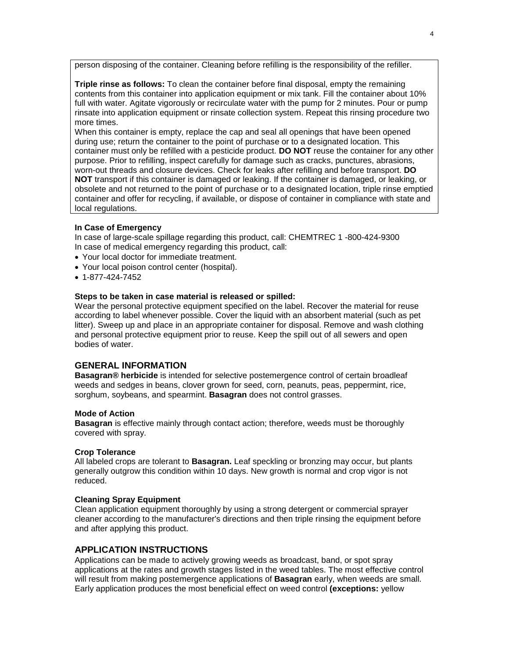person disposing of the container. Cleaning before refilling is the responsibility of the refiller.

**Triple rinse as follows:** To clean the container before final disposal, empty the remaining contents from this container into application equipment or mix tank. Fill the container about 10% full with water. Agitate vigorously or recirculate water with the pump for 2 minutes. Pour or pump rinsate into application equipment or rinsate collection system. Repeat this rinsing procedure two more times.

When this container is empty, replace the cap and seal all openings that have been opened during use; return the container to the point of purchase or to a designated location. This container must only be refilled with a pesticide product. **DO NOT** reuse the container for any other purpose. Prior to refilling, inspect carefully for damage such as cracks, punctures, abrasions, worn-out threads and closure devices. Check for leaks after refilling and before transport. **DO NOT** transport if this container is damaged or leaking. If the container is damaged, or leaking, or obsolete and not returned to the point of purchase or to a designated location, triple rinse emptied container and offer for recycling, if available, or dispose of container in compliance with state and local regulations.

#### **In Case of Emergency**

In case of large-scale spillage regarding this product, call: CHEMTREC 1 -800-424-9300 In case of medical emergency regarding this product, call:

- Your local doctor for immediate treatment.
- Your local poison control center (hospital).
- 1-877-424-7452

#### **Steps to be taken in case material is released or spilled:**

Wear the personal protective equipment specified on the label. Recover the material for reuse according to label whenever possible. Cover the liquid with an absorbent material (such as pet litter). Sweep up and place in an appropriate container for disposal. Remove and wash clothing and personal protective equipment prior to reuse. Keep the spill out of all sewers and open bodies of water.

# **GENERAL INFORMATION**

**Basagran® herbicide** is intended for selective postemergence control of certain broadleaf weeds and sedges in beans, clover grown for seed, corn, peanuts, peas, peppermint, rice, sorghum, soybeans, and spearmint. **Basagran** does not control grasses.

#### **Mode of Action**

**Basagran** is effective mainly through contact action; therefore, weeds must be thoroughly covered with spray.

#### **Crop Tolerance**

All labeled crops are tolerant to **Basagran.** Leaf speckling or bronzing may occur, but plants generally outgrow this condition within 10 days. New growth is normal and crop vigor is not reduced.

#### **Cleaning Spray Equipment**

Clean application equipment thoroughly by using a strong detergent or commercial sprayer cleaner according to the manufacturer's directions and then triple rinsing the equipment before and after applying this product.

# **APPLICATION INSTRUCTIONS**

Applications can be made to actively growing weeds as broadcast, band, or spot spray applications at the rates and growth stages listed in the weed tables. The most effective control will result from making postemergence applications of **Basagran** early, when weeds are small. Early application produces the most beneficial effect on weed control **(exceptions:** yellow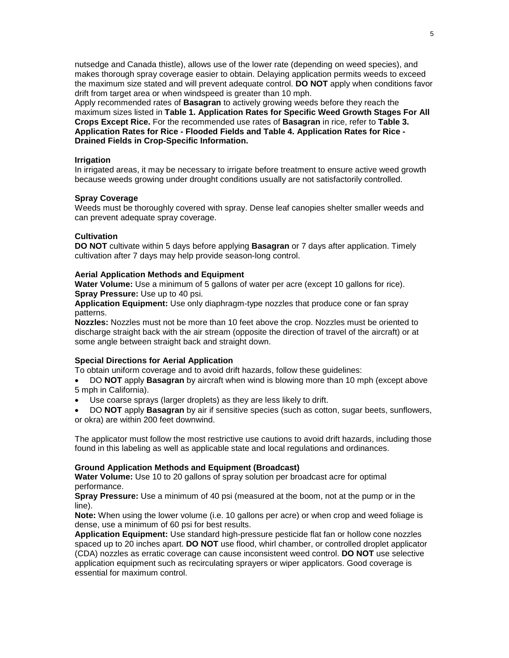nutsedge and Canada thistle), allows use of the lower rate (depending on weed species), and makes thorough spray coverage easier to obtain. Delaying application permits weeds to exceed the maximum size stated and will prevent adequate control. **DO NOT** apply when conditions favor drift from target area or when windspeed is greater than 10 mph.

Apply recommended rates of **Basagran** to actively growing weeds before they reach the maximum sizes listed in **Table 1. Application Rates for Specific Weed Growth Stages For All Crops Except Rice.** For the recommended use rates of **Basagran** in rice, refer to **Table 3. Application Rates for Rice - Flooded Fields and Table 4. Application Rates for Rice - Drained Fields in Crop-Specific Information.**

#### **Irrigation**

In irrigated areas, it may be necessary to irrigate before treatment to ensure active weed growth because weeds growing under drought conditions usually are not satisfactorily controlled.

#### **Spray Coverage**

Weeds must be thoroughly covered with spray. Dense leaf canopies shelter smaller weeds and can prevent adequate spray coverage.

#### **Cultivation**

**DO NOT** cultivate within 5 days before applying **Basagran** or 7 days after application. Timely cultivation after 7 days may help provide season-long control.

#### **Aerial Application Methods and Equipment**

**Water Volume:** Use a minimum of 5 gallons of water per acre (except 10 gallons for rice). **Spray Pressure:** Use up to 40 psi.

**Application Equipment:** Use only diaphragm-type nozzles that produce cone or fan spray patterns.

**Nozzles:** Nozzles must not be more than 10 feet above the crop. Nozzles must be oriented to discharge straight back with the air stream (opposite the direction of travel of the aircraft) or at some angle between straight back and straight down.

#### **Special Directions for Aerial Application**

To obtain uniform coverage and to avoid drift hazards, follow these guidelines:

• DO **NOT** apply **Basagran** by aircraft when wind is blowing more than 10 mph (except above 5 mph in California).

- Use coarse sprays (larger droplets) as they are less likely to drift.
- DO **NOT** apply **Basagran** by air if sensitive species (such as cotton, sugar beets, sunflowers, or okra) are within 200 feet downwind.

The applicator must follow the most restrictive use cautions to avoid drift hazards, including those found in this labeling as well as applicable state and local regulations and ordinances.

#### **Ground Application Methods and Equipment (Broadcast)**

**Water Volume:** Use 10 to 20 gallons of spray solution per broadcast acre for optimal performance.

**Spray Pressure:** Use a minimum of 40 psi (measured at the boom, not at the pump or in the line).

**Note:** When using the lower volume (i.e. 10 gallons per acre) or when crop and weed foliage is dense, use a minimum of 60 psi for best results.

**Application Equipment:** Use standard high-pressure pesticide flat fan or hollow cone nozzles spaced up to 20 inches apart. **DO NOT** use flood, whirl chamber, or controlled droplet applicator (CDA) nozzles as erratic coverage can cause inconsistent weed control. **DO NOT** use selective application equipment such as recirculating sprayers or wiper applicators. Good coverage is essential for maximum control.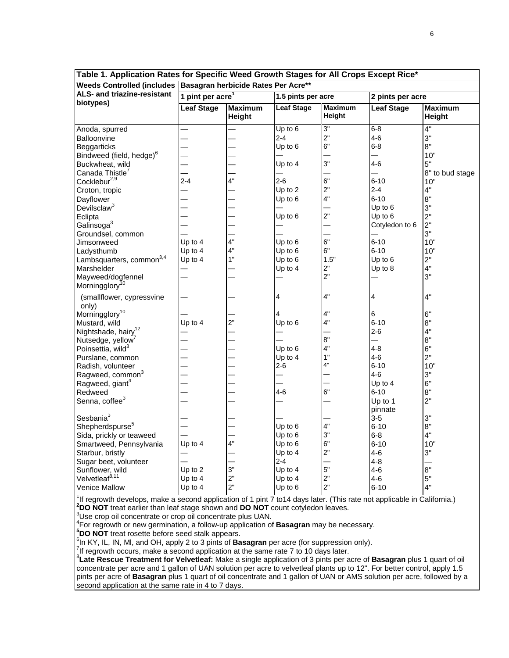| Table 1. Application Rates for opening weed Growth Stages for All Grops Except Rice<br>Weeds Controlled (includes Basagran herbicide Rates Per Acre** |                                                    |                          |                   |                          |                   |                          |
|-------------------------------------------------------------------------------------------------------------------------------------------------------|----------------------------------------------------|--------------------------|-------------------|--------------------------|-------------------|--------------------------|
| ALS- and triazine-resistant                                                                                                                           |                                                    |                          |                   |                          |                   |                          |
| biotypes)                                                                                                                                             | 1 pint per acre <sup>1</sup><br>1.5 pints per acre |                          |                   | 2 pints per acre         |                   |                          |
|                                                                                                                                                       | <b>Leaf Stage</b>                                  | <b>Maximum</b><br>Height | <b>Leaf Stage</b> | <b>Maximum</b><br>Height | <b>Leaf Stage</b> | <b>Maximum</b><br>Height |
| Anoda, spurred                                                                                                                                        |                                                    |                          | Up to 6           | 3"                       | $6 - 8$           | 4"                       |
| Balloonvine                                                                                                                                           |                                                    |                          | $2 - 4$           | 2"                       | $4-6$             | 3"                       |
| <b>Beggarticks</b>                                                                                                                                    |                                                    |                          | Up to 6           | 6"                       | $6 - 8$           | 8"                       |
| Bindweed (field, hedge) <sup>6</sup>                                                                                                                  |                                                    |                          |                   |                          |                   | 10"                      |
| Buckwheat, wild                                                                                                                                       |                                                    |                          | Up to 4           | 3"                       | $4 - 6$           | 5"                       |
| Canada Thistle <sup>7</sup>                                                                                                                           |                                                    |                          |                   |                          |                   | 8" to bud stage          |
| Cocklebur <sup>2,9</sup>                                                                                                                              | $2 - 4$                                            | 4"                       | $2 - 6$           | 6"                       | $6 - 10$          | 10"                      |
| Croton, tropic                                                                                                                                        |                                                    |                          | Up to 2           | 2"                       | $2 - 4$           | 4"                       |
| Dayflower                                                                                                                                             |                                                    |                          | Up to 6           | 4"                       | $6 - 10$          | 8"                       |
| Devilsclaw <sup>3</sup>                                                                                                                               |                                                    |                          |                   |                          | Up to 6           | 3"                       |
| Eclipta                                                                                                                                               |                                                    |                          | Up to 6           | 2"                       | Up to 6           | 2"                       |
| Galinsoga <sup>3</sup>                                                                                                                                |                                                    |                          |                   |                          | Cotyledon to 6    | 2"                       |
| Groundsel, common                                                                                                                                     |                                                    |                          |                   |                          |                   | 3"                       |
| Jimsonweed                                                                                                                                            | Up to 4                                            | 4"                       | Up to 6           | 6"                       | $6 - 10$          | 10"                      |
| Ladysthumb                                                                                                                                            | Up to 4                                            | 4"                       | Up to 6           | 6"                       | $6 - 10$          | 10"                      |
| Lambsquarters, common <sup>3,4</sup>                                                                                                                  | Up to 4                                            | 1"                       | Up to 6           | 1.5"                     | Up to 6           | 2"                       |
| Marshelder                                                                                                                                            |                                                    |                          | Up to 4           | 2"                       | Up to 8           | 4"                       |
| Mayweed/dogfennel                                                                                                                                     |                                                    |                          |                   | 2"                       |                   | 3"                       |
| Morningglory <sup>10</sup>                                                                                                                            |                                                    |                          |                   |                          |                   |                          |
| (smallflower, cypressvine<br>only)                                                                                                                    |                                                    |                          | 4                 | 4"                       | 4                 | 4"                       |
| Morningglory <sup>10</sup>                                                                                                                            |                                                    |                          | 4                 | 4"                       | 6                 | 6"                       |
| Mustard, wild                                                                                                                                         | Up to 4                                            | 2"                       | Up to 6           | 4"                       | $6 - 10$          | 8"                       |
| Nightshade, hairy <sup>12</sup>                                                                                                                       |                                                    |                          |                   |                          | $2-6$             | 4"                       |
| Nutsedge, yellow <sup>7</sup>                                                                                                                         |                                                    |                          |                   | 8"                       |                   | 8"                       |
| Poinsettia, wild <sup>3</sup>                                                                                                                         |                                                    |                          | Up to 6           | 4"                       | $4 - 8$           | 6"                       |
| Purslane, common                                                                                                                                      |                                                    |                          | Up to 4           | 1"                       | $4 - 6$           | 2"                       |
| Radish, volunteer                                                                                                                                     |                                                    |                          | $2 - 6$           | 4"                       | $6 - 10$          | 10"                      |
| Ragweed, common <sup>3</sup>                                                                                                                          |                                                    |                          |                   |                          | $4-6$             | 3"                       |
| Ragweed, giant <sup>4</sup>                                                                                                                           |                                                    |                          |                   |                          | Up to 4           | 6"                       |
| Redweed                                                                                                                                               |                                                    |                          | $4 - 6$           | 6"                       | $6 - 10$          | 8"                       |
| Senna, coffee <sup>3</sup>                                                                                                                            |                                                    |                          |                   |                          | Up to 1           | 2"                       |
|                                                                                                                                                       |                                                    |                          |                   |                          | pinnate           |                          |
| Sesbania <sup>3</sup>                                                                                                                                 |                                                    |                          |                   |                          | $3 - 5$           | 3"                       |
| Shepherdspurse <sup>5</sup>                                                                                                                           |                                                    |                          | Up to 6           | 4"                       | $6 - 10$          | 8"                       |
| Sida, prickly or teaweed                                                                                                                              |                                                    |                          | Up to 6           | 3"                       | $6 - 8$           | 4"                       |
| Smartweed, Pennsylvania                                                                                                                               | Up to 4                                            | 4"                       | Up to 6           | 6"                       | $6 - 10$          | 10"                      |
| Starbur, bristly                                                                                                                                      |                                                    |                          | Up to 4           | 2"                       | 4-6               | 3"                       |
| Sugar beet, volunteer                                                                                                                                 |                                                    |                          | $2 - 4$           |                          | $4 - 8$           |                          |
| Sunflower, wild                                                                                                                                       | Up to 2                                            | 3"                       | Up to 4           | 5"                       | $4 - 6$           | 8"                       |
| Velvetleaf <sup>8,11</sup>                                                                                                                            | Up to 4                                            | 2"                       | Up to 4           | 2"                       | $4 - 6$           | 5"                       |
| <b>Venice Mallow</b>                                                                                                                                  | Up to 4                                            | 2"                       | Up to $6$         | 2"                       | $6 - 10$          | 4"                       |
|                                                                                                                                                       |                                                    |                          |                   |                          |                   |                          |

**Table 1. Application Rates for Specific Weed Growth Stages for All Crops Except Rice\***

 $1$ If regrowth develops, make a second application of 1 pint 7 to14 days later. (This rate not applicable in California.) <sup>2</sup> DO NOT treat earlier than leaf stage shown and DO NOT count cotyledon leaves.<br><sup>3</sup> les eren eil concentrate er eren eil concentrate plus LIAN.

<sup>3</sup>Use crop oil concentrate or crop oil concentrate plus UAN.

4 For regrowth or new germination, a follow-up application of **Basagran** may be necessary. **<sup>5</sup>**

<sup>5</sup>DO NOT treat rosette before seed stalk appears.

<sup>6</sup>In KY, IL, IN, MI, and OH, apply 2 to 3 pints of **Basagran** per acre (for suppression only).

If regrowth occurs, make a second application at the same rate 7 to 10 days later.

8 **Late Rescue Treatment for Velvetleaf:** Make a single application of 3 pints per acre of **Basagran** plus 1 quart of oil concentrate per acre and 1 gallon of UAN solution per acre to velvetleaf plants up to 12". For better control, apply 1.5 pints per acre of **Basagran** plus 1 quart of oil concentrate and 1 gallon of UAN or AMS solution per acre, followed by a second application at the same rate in 4 to 7 days.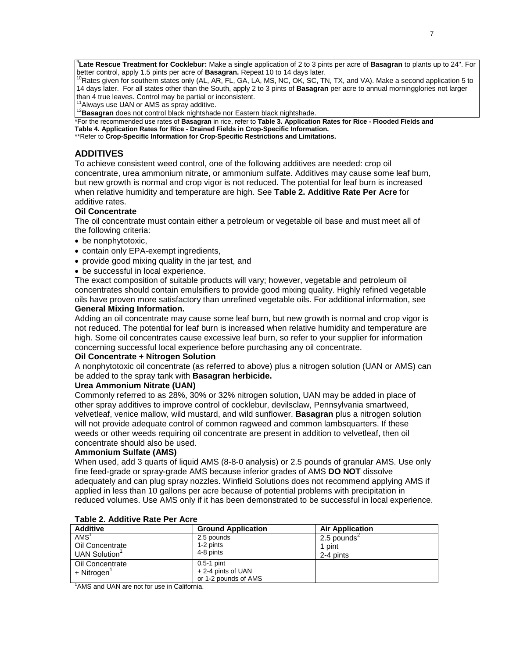9 **Late Rescue Treatment for Cocklebur:** Make a single application of 2 to 3 pints per acre of **Basagran** to plants up to 24". For better control, apply 1.5 pints per acre of **Basagran.** Repeat 10 to 14 days later.<br><sup>10</sup>Rates given for southern states only (AL, AR, FL, GA, LA, MS, NC, OK, SC, TN, TX, and VA). Make a second application 5 to

14 days later. For all states other than the South, apply 2 to 3 pints of **Basagran** per acre to annual morningglories not larger

<sup>11</sup>Always use UAN or AMS as spray additive.<br><sup>12</sup>Basagran does not control black nightshade nor Eastern black nightshade.

\*For the recommended use rates of **Basagran** in rice, refer to **Table 3. Application Rates for Rice - Flooded Fields and Table 4. Application Rates for Rice - Drained Fields in Crop-Specific Information.** 

\*\*Refer to **Crop-Specific Information for Crop-Specific Restrictions and Limitations.**

# **ADDITIVES**

To achieve consistent weed control, one of the following additives are needed: crop oil concentrate, urea ammonium nitrate, or ammonium sulfate. Additives may cause some leaf burn, but new growth is normal and crop vigor is not reduced. The potential for leaf burn is increased when relative humidity and temperature are high. See **Table 2. Additive Rate Per Acre** for additive rates.

#### **Oil Concentrate**

The oil concentrate must contain either a petroleum or vegetable oil base and must meet all of the following criteria:

- be nonphytotoxic,
- contain only EPA-exempt ingredients,
- provide good mixing quality in the jar test, and
- be successful in local experience.

The exact composition of suitable products will vary; however, vegetable and petroleum oil concentrates should contain emulsifiers to provide good mixing quality. Highly refined vegetable oils have proven more satisfactory than unrefined vegetable oils. For additional information, see **General Mixing Information.**

Adding an oil concentrate may cause some leaf burn, but new growth is normal and crop vigor is not reduced. The potential for leaf burn is increased when relative humidity and temperature are high. Some oil concentrates cause excessive leaf burn, so refer to your supplier for information concerning successful local experience before purchasing any oil concentrate.

#### **Oil Concentrate + Nitrogen Solution**

A nonphytotoxic oil concentrate (as referred to above) plus a nitrogen solution (UAN or AMS) can be added to the spray tank with **Basagran herbicide.**

#### **Urea Ammonium Nitrate (UAN)**

Commonly referred to as 28%, 30% or 32% nitrogen solution, UAN may be added in place of other spray additives to improve control of cocklebur, devilsclaw, Pennsylvania smartweed, velvetleaf, venice mallow, wild mustard, and wild sunflower. **Basagran** plus a nitrogen solution will not provide adequate control of common ragweed and common lambsquarters. If these weeds or other weeds requiring oil concentrate are present in addition to velvetleaf, then oil concentrate should also be used.

#### **Ammonium Sulfate (AMS)**

When used, add 3 quarts of liquid AMS (8-8-0 analysis) or 2.5 pounds of granular AMS. Use only fine feed-grade or spray-grade AMS because inferior grades of AMS **DO NOT** dissolve adequately and can plug spray nozzles. Winfield Solutions does not recommend applying AMS if applied in less than 10 gallons per acre because of potential problems with precipitation in reduced volumes. Use AMS only if it has been demonstrated to be successful in local experience.

| <b>Additive</b>                             | <b>Ground Application</b> | <b>Air Application</b> |  |
|---------------------------------------------|---------------------------|------------------------|--|
| AMS <sup>1</sup>                            | 2.5 pounds                | 2.5 pounds $2$         |  |
| Oil Concentrate                             | 1-2 pints                 | 1 pint                 |  |
| UAN Solution <sup>1</sup>                   | 4-8 pints                 | 2-4 pints              |  |
| Oil Concentrate                             | $0.5-1$ pint              |                        |  |
| + Nitrogen                                  | + 2-4 pints of UAN        |                        |  |
|                                             | or 1-2 pounds of AMS      |                        |  |
| 'AMS and UAN are not for use in California. |                           |                        |  |

#### **Table 2. Additive Rate Per Acre**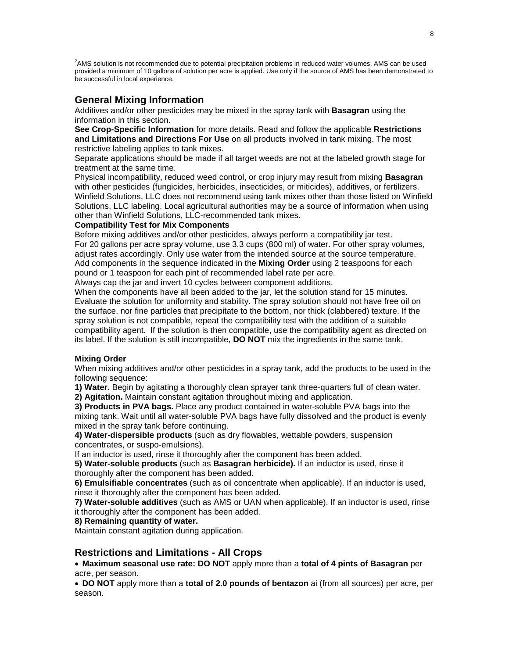<sup>2</sup>AMS solution is not recommended due to potential precipitation problems in reduced water volumes. AMS can be used provided a minimum of 10 gallons of solution per acre is applied. Use only if the source of AMS has been demonstrated to be successful in local experience.

# **General Mixing Information**

Additives and/or other pesticides may be mixed in the spray tank with **Basagran** using the information in this section.

**See Crop-Specific Information** for more details. Read and follow the applicable **Restrictions and Limitations and Directions For Use** on all products involved in tank mixing. The most restrictive labeling applies to tank mixes.

Separate applications should be made if all target weeds are not at the labeled growth stage for treatment at the same time.

Physical incompatibility, reduced weed control, or crop injury may result from mixing **Basagran**  with other pesticides (fungicides, herbicides, insecticides, or miticides), additives, or fertilizers. Winfield Solutions, LLC does not recommend using tank mixes other than those listed on Winfield Solutions, LLC labeling. Local agricultural authorities may be a source of information when using other than Winfield Solutions, LLC-recommended tank mixes.

#### **Compatibility Test for Mix Components**

Before mixing additives and/or other pesticides, always perform a compatibility jar test. For 20 gallons per acre spray volume, use 3.3 cups (800 ml) of water. For other spray volumes, adjust rates accordingly. Only use water from the intended source at the source temperature. Add components in the sequence indicated in the **Mixing Order** using 2 teaspoons for each pound or 1 teaspoon for each pint of recommended label rate per acre.

Always cap the jar and invert 10 cycles between component additions.

When the components have all been added to the jar, let the solution stand for 15 minutes. Evaluate the solution for uniformity and stability. The spray solution should not have free oil on the surface, nor fine particles that precipitate to the bottom, nor thick (clabbered) texture. If the spray solution is not compatible, repeat the compatibility test with the addition of a suitable compatibility agent. If the solution is then compatible, use the compatibility agent as directed on its label. If the solution is still incompatible, **DO NOT** mix the ingredients in the same tank.

#### **Mixing Order**

When mixing additives and/or other pesticides in a spray tank, add the products to be used in the following sequence:

**1) Water.** Begin by agitating a thoroughly clean sprayer tank three-quarters full of clean water.

**2) Agitation.** Maintain constant agitation throughout mixing and application.

**3) Products in PVA bags.** Place any product contained in water-soluble PVA bags into the mixing tank. Wait until all water-soluble PVA bags have fully dissolved and the product is evenly mixed in the spray tank before continuing.

**4) Water-dispersible products** (such as dry flowables, wettable powders, suspension concentrates, or suspo-emulsions).

If an inductor is used, rinse it thoroughly after the component has been added.

**5) Water-soluble products** (such as **Basagran herbicide).** If an inductor is used, rinse it thoroughly after the component has been added.

**6) Emulsifiable concentrates** (such as oil concentrate when applicable). If an inductor is used, rinse it thoroughly after the component has been added.

**7) Water-soluble additives** (such as AMS or UAN when applicable). If an inductor is used, rinse it thoroughly after the component has been added.

#### **8) Remaining quantity of water.**

Maintain constant agitation during application.

# **Restrictions and Limitations - All Crops**

• **Maximum seasonal use rate: DO NOT** apply more than a **total of 4 pints of Basagran** per acre, per season.

• **DO NOT** apply more than a **total of 2.0 pounds of bentazon** ai (from all sources) per acre, per season.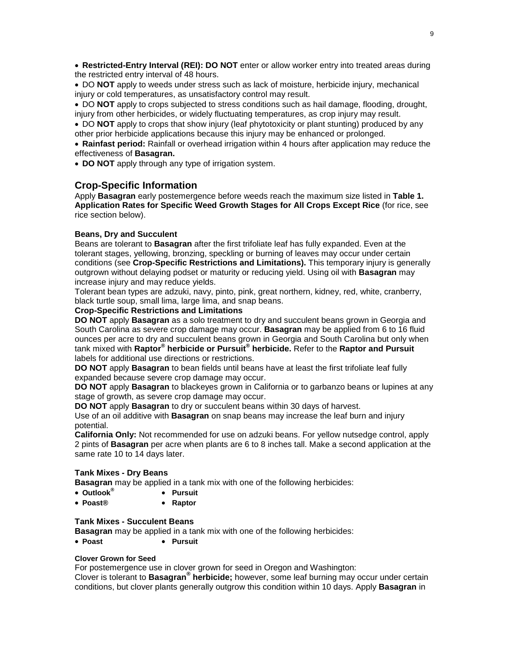• **Restricted-Entry Interval (REI): DO NOT** enter or allow worker entry into treated areas during the restricted entry interval of 48 hours.

• DO **NOT** apply to weeds under stress such as lack of moisture, herbicide injury, mechanical injury or cold temperatures, as unsatisfactory control may result.

• DO **NOT** apply to crops subjected to stress conditions such as hail damage, flooding, drought, injury from other herbicides, or widely fluctuating temperatures, as crop injury may result.

• DO **NOT** apply to crops that show injury (leaf phytotoxicity or plant stunting) produced by any other prior herbicide applications because this injury may be enhanced or prolonged.

• **Rainfast period:** Rainfall or overhead irrigation within 4 hours after application may reduce the effectiveness of **Basagran.**

• **DO NOT** apply through any type of irrigation system.

# **Crop-Specific Information**

Apply **Basagran** early postemergence before weeds reach the maximum size listed in **Table 1. Application Rates for Specific Weed Growth Stages for All Crops Except Rice** (for rice, see rice section below).

#### **Beans, Dry and Succulent**

Beans are tolerant to **Basagran** after the first trifoliate leaf has fully expanded. Even at the tolerant stages, yellowing, bronzing, speckling or burning of leaves may occur under certain conditions (see **Crop-Specific Restrictions and Limitations).** This temporary injury is generally outgrown without delaying podset or maturity or reducing yield. Using oil with **Basagran** may increase injury and may reduce yields.

Tolerant bean types are adzuki, navy, pinto, pink, great northern, kidney, red, white, cranberry, black turtle soup, small lima, large lima, and snap beans.

# **Crop-Specific Restrictions and Limitations**

**DO NOT** apply **Basagran** as a solo treatment to dry and succulent beans grown in Georgia and South Carolina as severe crop damage may occur. **Basagran** may be applied from 6 to 16 fluid ounces per acre to dry and succulent beans grown in Georgia and South Carolina but only when tank mixed with **Raptor® herbicide or Pursuit® herbicide.** Refer to the **Raptor and Pursuit**  labels for additional use directions or restrictions.

**DO NOT** apply **Basagran** to bean fields until beans have at least the first trifoliate leaf fully expanded because severe crop damage may occur.

**DO NOT** apply **Basagran** to blackeyes grown in California or to garbanzo beans or lupines at any stage of growth, as severe crop damage may occur.

**DO NOT** apply **Basagran** to dry or succulent beans within 30 days of harvest.

Use of an oil additive with **Basagran** on snap beans may increase the leaf burn and injury potential.

**California Only:** Not recommended for use on adzuki beans. For yellow nutsedge control, apply 2 pints of **Basagran** per acre when plants are 6 to 8 inches tall. Make a second application at the same rate 10 to 14 days later.

#### **Tank Mixes - Dry Beans**

**Basagran** may be applied in a tank mix with one of the following herbicides:

- **Outlook® Pursuit**
- **Poast® Raptor**

#### **Tank Mixes - Succulent Beans**

**Basagran** may be applied in a tank mix with one of the following herbicides:

• **Poast** • **Pursuit**

#### **Clover Grown for Seed**

For postemergence use in clover grown for seed in Oregon and Washington:

Clover is tolerant to **Basagran® herbicide;** however, some leaf burning may occur under certain conditions, but clover plants generally outgrow this condition within 10 days. Apply **Basagran** in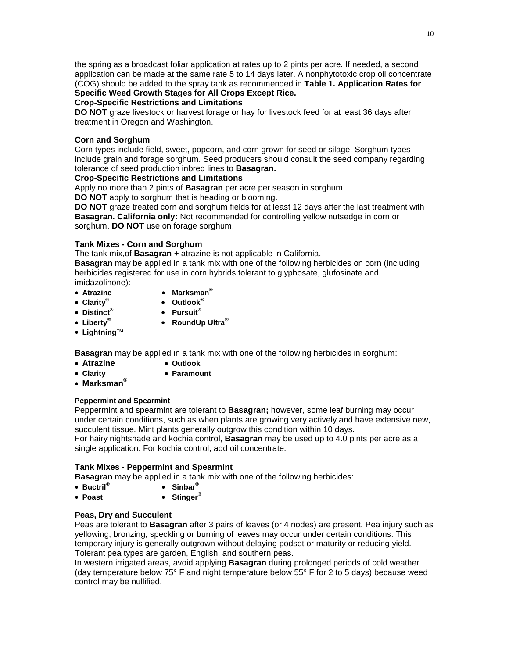the spring as a broadcast foliar application at rates up to 2 pints per acre. If needed, a second application can be made at the same rate 5 to 14 days later. A nonphytotoxic crop oil concentrate (COG) should be added to the spray tank as recommended in **Table 1. Application Rates for Specific Weed Growth Stages for All Crops Except Rice.**

# **Crop-Specific Restrictions and Limitations**

**DO NOT** graze livestock or harvest forage or hay for livestock feed for at least 36 days after treatment in Oregon and Washington.

# **Corn and Sorghum**

Corn types include field, sweet, popcorn, and corn grown for seed or silage. Sorghum types include grain and forage sorghum. Seed producers should consult the seed company regarding tolerance of seed production inbred lines to **Basagran.**

# **Crop-Specific Restrictions and Limitations**

Apply no more than 2 pints of **Basagran** per acre per season in sorghum.

**DO NOT** apply to sorghum that is heading or blooming.

**DO NOT** graze treated corn and sorghum fields for at least 12 days after the last treatment with **Basagran. California only:** Not recommended for controlling yellow nutsedge in corn or sorghum. **DO NOT** use on forage sorghum.

# **Tank Mixes - Corn and Sorghum**

The tank mix,of **Basagran** + atrazine is not applicable in California.

**Basagran** may be applied in a tank mix with one of the following herbicides on corn (including herbicides registered for use in corn hybrids tolerant to glyphosate, glufosinate and imidazolinone):

- 
- 
- 
- **Atrazine Marksman®** • **Clarity®** • **Outlook®**
- **Distinct® Pursuit®**
- 
- **Liberty® RoundUp Ultra®**
- **Lightning™**

**Basagran** may be applied in a tank mix with one of the following herbicides in sorghum:

- **Atrazine Outlook**
- **Clarity Paramount**
- **Marksman®**

# **Peppermint and Spearmint**

Peppermint and spearmint are tolerant to **Basagran;** however, some leaf burning may occur under certain conditions, such as when plants are growing very actively and have extensive new, succulent tissue. Mint plants generally outgrow this condition within 10 days. For hairy nightshade and kochia control, **Basagran** may be used up to 4.0 pints per acre as a

single application. For kochia control, add oil concentrate.

# **Tank Mixes - Peppermint and Spearmint**

**Basagran** may be applied in a tank mix with one of the following herbicides:

- **Buctril® Sinbar®**
- **Poast Stinger®**

# **Peas, Dry and Succulent**

Peas are tolerant to **Basagran** after 3 pairs of leaves (or 4 nodes) are present. Pea injury such as yellowing, bronzing, speckling or burning of leaves may occur under certain conditions. This temporary injury is generally outgrown without delaying podset or maturity or reducing yield. Tolerant pea types are garden, English, and southern peas.

In western irrigated areas, avoid applying **Basagran** during prolonged periods of cold weather (day temperature below 75° F and night temperature below 55° F for 2 to 5 days) because weed control may be nullified.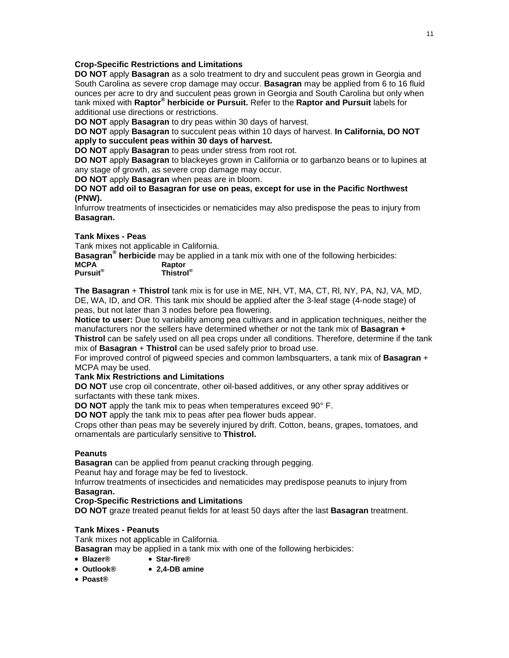# **Crop-Specific Restrictions and Limitations**

**DO NOT** apply **Basagran** as a solo treatment to dry and succulent peas grown in Georgia and South Carolina as severe crop damage may occur. **Basagran** may be applied from 6 to 16 fluid ounces per acre to dry and succulent peas grown in Georgia and South Carolina but only when tank mixed with **Raptor® herbicide or Pursuit.** Refer to the **Raptor and Pursuit** labels for additional use directions or restrictions.

**DO NOT** apply **Basagran** to dry peas within 30 days of harvest.

**DO NOT** apply **Basagran** to succulent peas within 10 days of harvest. **In California, DO NOT apply to succulent peas within 30 days of harvest.**

**DO NOT** apply **Basagran** to peas under stress from root rot.

**DO NOT** apply **Basagran** to blackeyes grown in California or to garbanzo beans or to lupines at any stage of growth, as severe crop damage may occur.

**DO NOT** apply **Basagran** when peas are in bloom.

#### **DO NOT add oil to Basagran for use on peas, except for use in the Pacific Northwest (PNW).**

Infurrow treatments of insecticides or nematicides may also predispose the peas to injury from **Basagran.**

# **Tank Mixes - Peas**

Tank mixes not applicable in California.

**Basagran® herbicide** may be applied in a tank mix with one of the following herbicides:

| <b>MCPA</b> | Raptor    |  |  |
|-------------|-----------|--|--|
| Pursuit®    | Thistrol® |  |  |

**The Basagran** + **Thistrol** tank mix is for use in ME, NH, VT, MA, CT, Rl, NY, PA, NJ, VA, MD, DE, WA, ID, and OR. This tank mix should be applied after the 3-leaf stage (4-node stage) of peas, but not later than 3 nodes before pea flowering.

**Notice to user:** Due to variability among pea cultivars and in application techniques, neither the manufacturers nor the sellers have determined whether or not the tank mix of **Basagran + Thistrol** can be safely used on all pea crops under all conditions. Therefore, determine if the tank

mix of **Basagran** + **Thistrol** can be used safely prior to broad use.

For improved control of pigweed species and common lambsquarters, a tank mix of **Basagran** + MCPA may be used.

#### **Tank Mix Restrictions and Limitations**

**DO NOT** use crop oil concentrate, other oil-based additives, or any other spray additives or surfactants with these tank mixes.

**DO NOT** apply the tank mix to peas when temperatures exceed 90° F.

**DO NOT** apply the tank mix to peas after pea flower buds appear.

Crops other than peas may be severely injured by drift. Cotton, beans, grapes, tomatoes, and ornamentals are particularly sensitive to **Thistrol.**

# **Peanuts**

**Basagran** can be applied from peanut cracking through pegging.

Peanut hay and forage may be fed to livestock.

Infurrow treatments of insecticides and nematicides may predispose peanuts to injury from **Basagran.**

#### **Crop-Specific Restrictions and Limitations**

**DO NOT** graze treated peanut fields for at least 50 days after the last **Basagran** treatment.

# **Tank Mixes - Peanuts**

Tank mixes not applicable in California.

**Basagran** may be applied in a tank mix with one of the following herbicides:

- **Blazer® Star-fire®**
- **Outlook® 2,4-DB amine**
- **Poast®**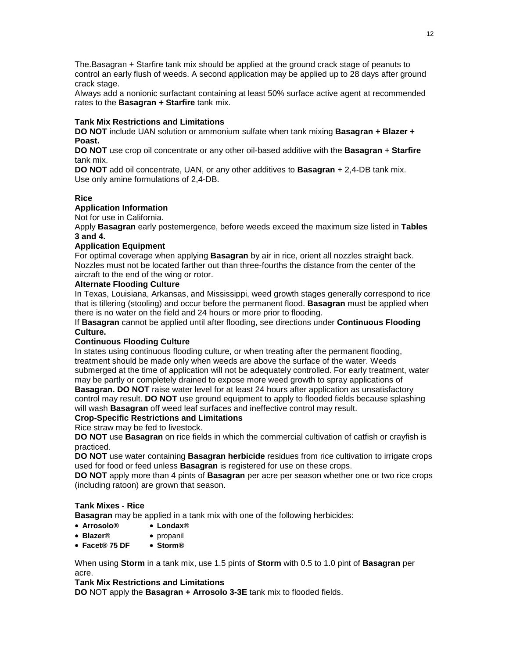The.Basagran + Starfire tank mix should be applied at the ground crack stage of peanuts to control an early flush of weeds. A second application may be applied up to 28 days after ground crack stage.

Always add a nonionic surfactant containing at least 50% surface active agent at recommended rates to the **Basagran + Starfire** tank mix.

#### **Tank Mix Restrictions and Limitations**

**DO NOT** include UAN solution or ammonium sulfate when tank mixing **Basagran + Blazer + Poast.**

**DO NOT** use crop oil concentrate or any other oil-based additive with the **Basagran** + **Starfire**  tank mix.

**DO NOT** add oil concentrate, UAN, or any other additives to **Basagran** + 2,4-DB tank mix. Use only amine formulations of 2,4-DB.

#### **Rice**

#### **Application Information**

Not for use in California.

Apply **Basagran** early postemergence, before weeds exceed the maximum size listed in **Tables 3 and 4.**

#### **Application Equipment**

For optimal coverage when applying **Basagran** by air in rice, orient all nozzles straight back. Nozzles must not be located farther out than three-fourths the distance from the center of the aircraft to the end of the wing or rotor.

# **Alternate Flooding Culture**

In Texas, Louisiana, Arkansas, and Mississippi, weed growth stages generally correspond to rice that is tillering (stooling) and occur before the permanent flood. **Basagran** must be applied when there is no water on the field and 24 hours or more prior to flooding.

If **Basagran** cannot be applied until after flooding, see directions under **Continuous Flooding Culture.**

#### **Continuous Flooding Culture**

In states using continuous flooding culture, or when treating after the permanent flooding, treatment should be made only when weeds are above the surface of the water. Weeds submerged at the time of application will not be adequately controlled. For early treatment, water may be partly or completely drained to expose more weed growth to spray applications of **Basagran. DO NOT** raise water level for at least 24 hours after application as unsatisfactory control may result. **DO NOT** use ground equipment to apply to flooded fields because splashing

will wash **Basagran** off weed leaf surfaces and ineffective control may result.

#### **Crop-Specific Restrictions and Limitations**

Rice straw may be fed to livestock.

**DO NOT** use **Basagran** on rice fields in which the commercial cultivation of catfish or crayfish is practiced.

**DO NOT** use water containing **Basagran herbicide** residues from rice cultivation to irrigate crops used for food or feed unless **Basagran** is registered for use on these crops.

**DO NOT** apply more than 4 pints of **Basagran** per acre per season whether one or two rice crops (including ratoon) are grown that season.

#### **Tank Mixes - Rice**

**Basagran** may be applied in a tank mix with one of the following herbicides:

- **Arrosolo® Londax®**
- **Blazer®** propanil
- **Facet® 75 DF Storm®**

When using **Storm** in a tank mix, use 1.5 pints of **Storm** with 0.5 to 1.0 pint of **Basagran** per acre.

#### **Tank Mix Restrictions and Limitations**

**DO** NOT apply the **Basagran + Arrosolo 3-3E** tank mix to flooded fields.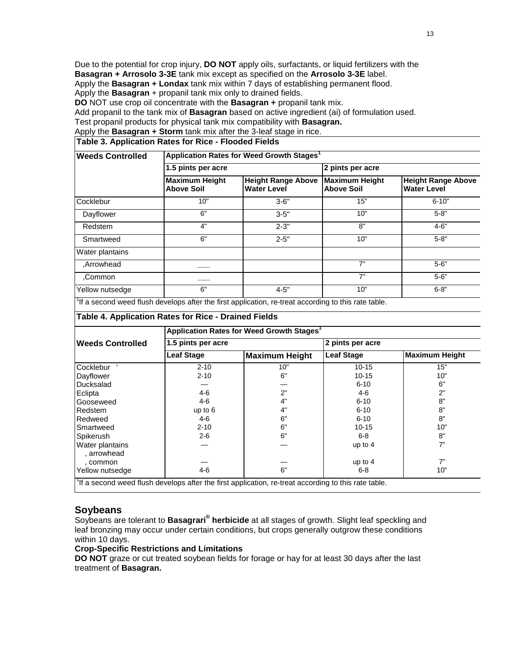Due to the potential for crop injury, **DO NOT** apply oils, surfactants, or liquid fertilizers with the **Basagran + Arrosolo 3-3E** tank mix except as specified on the **Arrosolo 3-3E** label. Apply the **Basagran + Londax** tank mix within 7 days of establishing permanent flood. Apply the **Basagran** + propanil tank mix only to drained fields.

**DO** NOT use crop oil concentrate with the **Basagran +** propanil tank mix.

Add propanil to the tank mix of **Basagran** based on active ingredient (ai) of formulation used.

Test propanil products for physical tank mix compatibility with **Basagran.**

Apply the **Basagran + Storm** tank mix after the 3-leaf stage in rice.

# **Table 3. Application Rates for Rice - Flooded Fields**

| <b>Weeds Controlled</b> | Application Rates for Weed Growth Stages <sup>1</sup> |                                                 |                                            |                                                 |  |  |
|-------------------------|-------------------------------------------------------|-------------------------------------------------|--------------------------------------------|-------------------------------------------------|--|--|
|                         | 1.5 pints per acre                                    |                                                 | 2 pints per acre                           |                                                 |  |  |
|                         | <b>Maximum Height</b><br><b>Above Soil</b>            | <b>Height Range Above</b><br><b>Water Level</b> | <b>Maximum Height</b><br><b>Above Soil</b> | <b>Height Range Above</b><br><b>Water Level</b> |  |  |
| Cocklebur               | 10"                                                   | $3 - 6"$                                        | 15"                                        | $6 - 10"$                                       |  |  |
| Dayflower               | 6"                                                    | $3 - 5"$                                        | 10"                                        | $5 - 8"$                                        |  |  |
| Redstem                 | 4"                                                    | $2 - 3"$                                        | 8"                                         | $4 - 6"$                                        |  |  |
| Smartweed               | 6"                                                    | $2 - 5"$                                        | 10"                                        | $5 - 8"$                                        |  |  |
| <b>Water plantains</b>  |                                                       |                                                 |                                            |                                                 |  |  |
| Arrowhead.              |                                                       |                                                 | 7"                                         | $5 - 6"$                                        |  |  |
| Common.                 |                                                       |                                                 | 7"                                         | $5 - 6"$                                        |  |  |
| Yellow nutsedge         | 6"                                                    | $4 - 5"$                                        | 10"                                        | $6 - 8"$                                        |  |  |
| 1.7                     |                                                       |                                                 |                                            |                                                 |  |  |

 $1$ If a second weed flush develops after the first application, re-treat according to this rate table.

#### **Table 4. Application Rates for Rice - Drained Fields**

|                                | Application Rates for Weed Growth Stages <sup>1</sup> |                                                                                                                  |                   |                       |  |
|--------------------------------|-------------------------------------------------------|------------------------------------------------------------------------------------------------------------------|-------------------|-----------------------|--|
| <b>Weeds Controlled</b>        | 1.5 pints per acre                                    |                                                                                                                  | 2 pints per acre  |                       |  |
|                                | <b>Leaf Stage</b>                                     | Maximum Height                                                                                                   | <b>Leaf Stage</b> | <b>Maximum Height</b> |  |
| Cocklebur                      | $2 - 10$                                              | 10"                                                                                                              | $10 - 15$         | 15"                   |  |
| Dayflower                      | $2 - 10$                                              | 6"                                                                                                               | $10 - 15$         | 10"                   |  |
| Ducksalad                      |                                                       |                                                                                                                  | $6 - 10$          | 6"                    |  |
| Eclipta                        | $4 - 6$                                               | 2"                                                                                                               | 4-6               | 2"                    |  |
| Gooseweed                      | 4-6                                                   | 4"                                                                                                               | $6 - 10$          | 8"                    |  |
| Redstem                        | up to $6$                                             | 4"                                                                                                               | $6 - 10$          | 8"                    |  |
| Redweed                        | 4-6                                                   | 6"                                                                                                               | $6 - 10$          | 8"                    |  |
| Smartweed                      | $2 - 10$                                              | 6"                                                                                                               | 10-15             | 10"                   |  |
| Spikerush                      | $2 - 6$                                               | 6"                                                                                                               | 6-8               | 8"                    |  |
| Water plantains<br>, arrowhead |                                                       |                                                                                                                  | up to $4$         | 7"                    |  |
| , common                       |                                                       |                                                                                                                  | up to $4$         | 7"                    |  |
| Yellow nutsedge                | $4 - 6$                                               | 6"                                                                                                               | $6 - 8$           | 10"                   |  |
|                                |                                                       | <sup>1</sup> If a second weed flush develops after the first application, re-treat according to this rate table. |                   |                       |  |

# **Soybeans**

Soybeans are tolerant to **Basagrari® herbicide** at all stages of growth. Slight leaf speckling and leaf bronzing may occur under certain conditions, but crops generally outgrow these conditions within 10 days.

# **Crop-Specific Restrictions and Limitations**

**DO NOT** graze or cut treated soybean fields for forage or hay for at least 30 days after the last treatment of **Basagran.**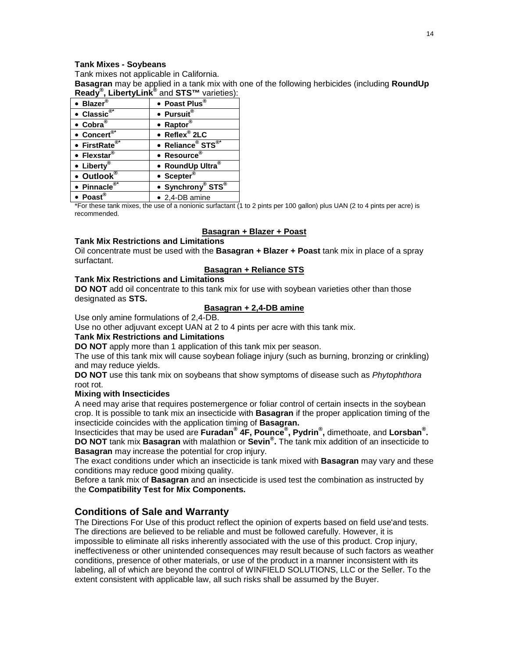#### **Tank Mixes - Soybeans**

Tank mixes not applicable in California.

**Basagran** may be applied in a tank mix with one of the following herbicides (including **RoundUp Ready® , LibertyLink®** and **STS™** varieties):

| • Blazer®                              | • Poast Plus®                             |
|----------------------------------------|-------------------------------------------|
| • Classic®*                            | • Pursuit®                                |
| $\bullet$ Cobra $^{\circledR}$         | • Raptor®                                 |
| • Concert $e^{\overline{\otimes} t}$   | $\bullet$ Reflex <sup>®</sup> 2LC         |
| • FirstRate $e^{\overline{\otimes^*}}$ | • Reliance <sup>®</sup> STS <sup>®*</sup> |
| • Flexstar®                            | • Resource®                               |
| • Liberty®                             | • RoundUp Ultra®                          |
| • Outlook®                             | • Scepter®                                |
| $\bullet$ Pinnacle <sup>®*</sup>       | • Synchrony® STS®                         |
| • Poast®                               | • 2,4-DB amine                            |

\*For these tank mixes, the use of a nonionic surfactant (1 to 2 pints per 100 gallon) plus UAN (2 to 4 pints per acre) is recommended.

#### **Basagran + Blazer + Poast**

#### **Tank Mix Restrictions and Limitations**

Oil concentrate must be used with the **Basagran + Blazer + Poast** tank mix in place of a spray surfactant.

#### **Basagran + Reliance STS**

#### **Tank Mix Restrictions and Limitations**

**DO NOT** add oil concentrate to this tank mix for use with soybean varieties other than those designated as **STS.**

# **Basagran + 2,4-DB amine**

Use only amine formulations of 2,4-DB.

Use no other adjuvant except UAN at 2 to 4 pints per acre with this tank mix.

#### **Tank Mix Restrictions and Limitations**

**DO NOT** apply more than 1 application of this tank mix per season.

The use of this tank mix will cause soybean foliage injury (such as burning, bronzing or crinkling) and may reduce yields.

**DO NOT** use this tank mix on soybeans that show symptoms of disease such as *Phytophthora*  root rot.

#### **Mixing with Insecticides**

A need may arise that requires postemergence or foliar control of certain insects in the soybean crop. It is possible to tank mix an insecticide with **Basagran** if the proper application timing of the insecticide coincides with the application timing of **Basagran.**

Insecticides that may be used are **Furadan® 4F, Pounce® , Pydrin® ,** dimethoate, and **Lorsban® . DO NOT** tank mix **Basagran** with malathion or **Sevin® .** The tank mix addition of an insecticide to **Basagran** may increase the potential for crop injury.

The exact conditions under which an insecticide is tank mixed with **Basagran** may vary and these conditions may reduce good mixing quality.

Before a tank mix of **Basagran** and an insecticide is used test the combination as instructed by the **Compatibility Test for Mix Components.**

# **Conditions of Sale and Warranty**

The Directions For Use of this product reflect the opinion of experts based on field use'and tests. The directions are believed to be reliable and must be followed carefully. However, it is impossible to eliminate all risks inherently associated with the use of this product. Crop injury, ineffectiveness or other unintended consequences may result because of such factors as weather conditions, presence of other materials, or use of the product in a manner inconsistent with its labeling, all of which are beyond the control of WINFIELD SOLUTIONS, LLC or the Seller. To the extent consistent with applicable law, all such risks shall be assumed by the Buyer.